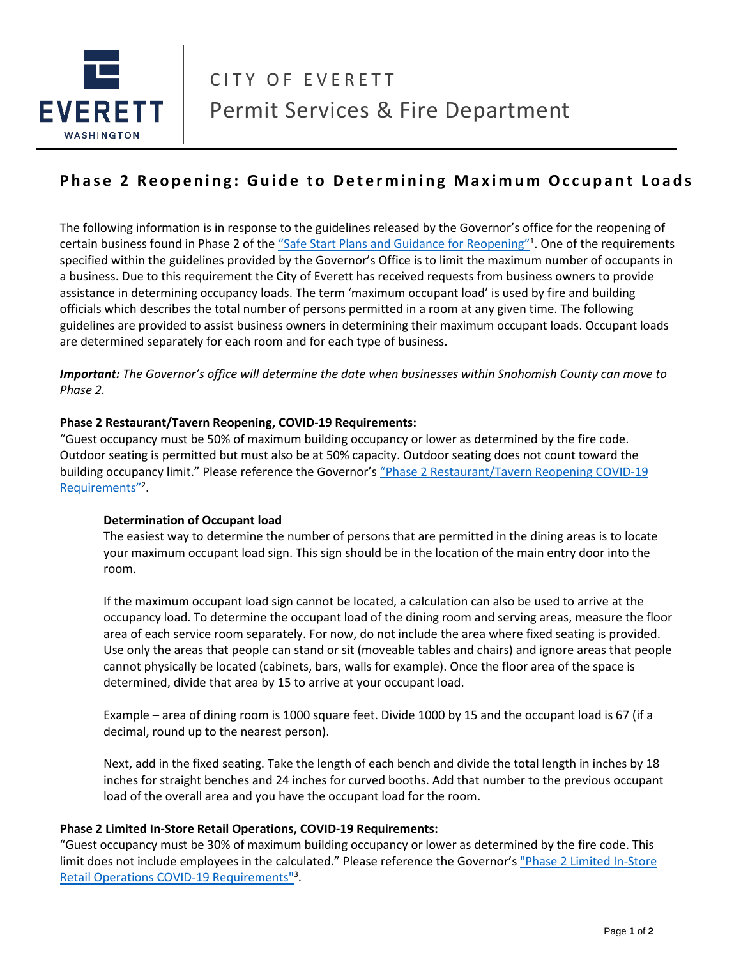

# **Phase 2 Reopening: Guide to Determining Maximum Occupant Loads**

The following information is in response to the guidelines released by the Governor's office for the reopening of certain business found in Phase 2 of the "[Safe Start Plans and Guidance for Reopening](Safe%20Start%20Plans%20and%20Guidance%20for%20Reopening)"<sup>1</sup>. One of the requirements specified within the guidelines provided by the Governor's Office is to limit the maximum number of occupants in a business. Due to this requirement the City of Everett has received requests from business owners to provide assistance in determining occupancy loads. The term 'maximum occupant load' is used by fire and building officials which describes the total number of persons permitted in a room at any given time. The following guidelines are provided to assist business owners in determining their maximum occupant loads. Occupant loads are determined separately for each room and for each type of business.

*Important: The Governor's office will determine the date when businesses within Snohomish County can move to Phase 2.*

#### **Phase 2 Restaurant/Tavern Reopening, COVID-19 Requirements:**

"Guest occupancy must be 50% of maximum building occupancy or lower as determined by the fire code. Outdoor seating is permitted but must also be at 50% capacity. Outdoor seating does not count toward the building occupancy limit." Please reference the Governor's "[Phase 2 Restaurant/Tavern Reopening](https://www.governor.wa.gov/sites/default/files/Phase%202%20Restaurant%20industry%20re-open%20proposal_FINAL.pdf) COVID-19 [Requirements](https://www.governor.wa.gov/sites/default/files/Phase%202%20Restaurant%20industry%20re-open%20proposal_FINAL.pdf)"<sup>2</sup>.

#### **Determination of Occupant load**

The easiest way to determine the number of persons that are permitted in the dining areas is to locate your maximum occupant load sign. This sign should be in the location of the main entry door into the room.

If the maximum occupant load sign cannot be located, a calculation can also be used to arrive at the occupancy load. To determine the occupant load of the dining room and serving areas, measure the floor area of each service room separately. For now, do not include the area where fixed seating is provided. Use only the areas that people can stand or sit (moveable tables and chairs) and ignore areas that people cannot physically be located (cabinets, bars, walls for example). Once the floor area of the space is determined, divide that area by 15 to arrive at your occupant load.

Example – area of dining room is 1000 square feet. Divide 1000 by 15 and the occupant load is 67 (if a decimal, round up to the nearest person).

Next, add in the fixed seating. Take the length of each bench and divide the total length in inches by 18 inches for straight benches and 24 inches for curved booths. Add that number to the previous occupant load of the overall area and you have the occupant load for the room.

#### **Phase 2 Limited In-Store Retail Operations, COVID-19 Requirements:**

"Guest occupancy must be 30% of maximum building occupancy or lower as determined by the fire code. This limit does not include employees in the calculated." Please reference the Governor's ["Phase 2 Limited In-Store](https://www.governor.wa.gov/sites/default/files/Phase2InStoreRetailGuidance.pdf)  [Retail Operations COVID-19 Requirements"](https://www.governor.wa.gov/sites/default/files/Phase2InStoreRetailGuidance.pdf)<sup>3</sup>.